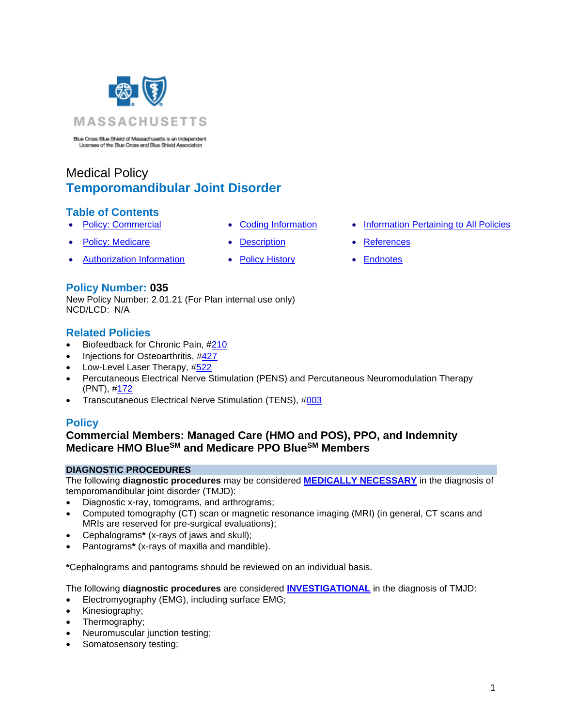

Blue Cross Blue Shield of Massachusetts is an Independent Licensee of the Blue Cross and Blue Shield Association

# Medical Policy **Temporomandibular Joint Disorder**

### **Table of Contents**

- 
- **[Policy: Medicare](#page-0-0) [Description](#page-4-0) [References](#page-6-1)**
- [Authorization Information](#page-1-0) [Policy History](#page-5-0) [Endnotes](#page-8-0)
- 
- -
- **[Policy: Commercial](#page-0-0) [Coding Information](#page-2-0) [Information Pertaining to All Policies](#page-6-0)** 
	-
	-

### **Policy Number: 035**

New Policy Number: 2.01.21 (For Plan internal use only) NCD/LCD: N/A

### **Related Policies**

- Biofeedback for Chronic Pain, [#210](http://www.bluecrossma.org/medical-policies/sites/g/files/csphws2091/files/acquiadam-assets/210%20Biofeedback%20as%20a%20Treatment%20of%20Chronic%20Pain%20prn.pdf)
- Injections for Osteoarthritis, [#427](https://www.bluecrossma.org/medical-policies/sites/g/files/csphws2091/files/acquiadam-assets/427%20Injections%20for%20Osteroarthritis%20prn.pdf)
- Low-Level Laser Therapy, [#522](http://www.bluecrossma.org/medical-policies/sites/g/files/csphws2091/files/acquiadam-assets/522%20Low-Level%20Laser%20Therapy%20prn.pdf#page=1)
- Percutaneous Electrical Nerve Stimulation (PENS) and Percutaneous Neuromodulation Therapy (PNT), [#172](http://www.bluecrossma.org/medical-policies/sites/g/files/csphws2091/files/acquiadam-assets/172%20Percutaneous%20Electrical%20Nerve%20Stimulation%20-%20PENS%20-%20and%20Percutaneous%20Neuromodulation%20Therapy%20-%20PNT%20prn.pdf#page=1)
- <span id="page-0-0"></span>• Transcutaneous Electrical Nerve Stimulation (TENS), [#003](http://www.bluecrossma.org/medical-policies/sites/g/files/csphws2091/files/acquiadam-assets/003%20Transcutaneous%20Electrical%20Nerve%20Stimulation%20prn.pdf)

# **Policy**

# **Commercial Members: Managed Care (HMO and POS), PPO, and Indemnity Medicare HMO BlueSM and Medicare PPO BlueSM Members**

### **DIAGNOSTIC PROCEDURES**

The following **diagnostic procedures** may be considered **[MEDICALLY NECESSARY](https://www.bluecrossma.org/medical-policies/sites/g/files/csphws2091/files/acquiadam-assets/Definition%20of%20Med%20Nec%20Inv%20Not%20Med%20Nec%20prn.pdf#page=1)** in the diagnosis of temporomandibular joint disorder (TMJD):

- Diagnostic x-ray, tomograms, and arthrograms;
- Computed tomography (CT) scan or magnetic resonance imaging (MRI) (in general, CT scans and MRIs are reserved for pre-surgical evaluations);
- Cephalograms**\*** (x-rays of jaws and skull);
- Pantograms**\*** (x-rays of maxilla and mandible).

**\***Cephalograms and pantograms should be reviewed on an individual basis.

The following **diagnostic procedures** are considered **[INVESTIGATIONAL](https://www.bluecrossma.org/medical-policies/sites/g/files/csphws2091/files/acquiadam-assets/Definition%20of%20Med%20Nec%20Inv%20Not%20Med%20Nec%20prn.pdf#page=1)** in the diagnosis of TMJD:

- Electromyography (EMG), including surface EMG;
- Kinesiography;
- Thermography;
- Neuromuscular junction testing;
- Somatosensory testing;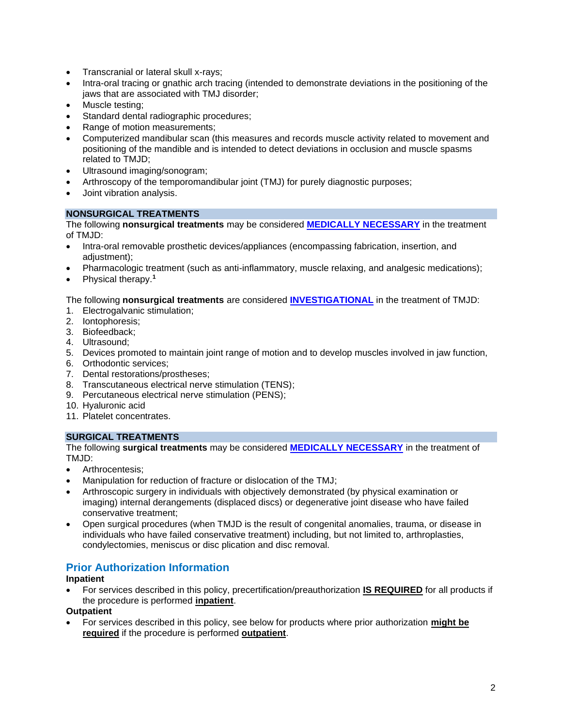- Transcranial or lateral skull x-rays;
- Intra-oral tracing or gnathic arch tracing (intended to demonstrate deviations in the positioning of the jaws that are associated with TMJ disorder;
- Muscle testing:
- Standard dental radiographic procedures;
- Range of motion measurements:
- Computerized mandibular scan (this measures and records muscle activity related to movement and positioning of the mandible and is intended to detect deviations in occlusion and muscle spasms related to TMJD;
- Ultrasound imaging/sonogram;
- Arthroscopy of the temporomandibular joint (TMJ) for purely diagnostic purposes;
- Joint vibration analysis.

#### **NONSURGICAL TREATMENTS**

The following **nonsurgical treatments** may be considered **[MEDICALLY NECESSARY](https://www.bluecrossma.org/medical-policies/sites/g/files/csphws2091/files/acquiadam-assets/Definition%20of%20Med%20Nec%20Inv%20Not%20Med%20Nec%20prn.pdf#page=1)** in the treatment of TMJD:

- Intra-oral removable prosthetic devices/appliances (encompassing fabrication, insertion, and adjustment);
- Pharmacologic treatment (such as anti-inflammatory, muscle relaxing, and analgesic medications);
- Physical therapy.**<sup>1</sup>**

The following **nonsurgical treatments** are considered **[INVESTIGATIONAL](https://www.bluecrossma.org/medical-policies/sites/g/files/csphws2091/files/acquiadam-assets/Definition%20of%20Med%20Nec%20Inv%20Not%20Med%20Nec%20prn.pdf#page=1)** in the treatment of TMJD:

- 1. Electrogalvanic stimulation;
- 2. Iontophoresis;
- 3. Biofeedback;
- 4. Ultrasound;
- 5. Devices promoted to maintain joint range of motion and to develop muscles involved in jaw function,
- 6. Orthodontic services;
- 7. Dental restorations/prostheses;
- 8. Transcutaneous electrical nerve stimulation (TENS);
- 9. Percutaneous electrical nerve stimulation (PENS);
- 10. Hyaluronic acid
- 11. Platelet concentrates.

#### **SURGICAL TREATMENTS**

The following **surgical treatments** may be considered **[MEDICALLY NECESSARY](https://www.bluecrossma.org/medical-policies/sites/g/files/csphws2091/files/acquiadam-assets/Definition%20of%20Med%20Nec%20Inv%20Not%20Med%20Nec%20prn.pdf#page=1)** in the treatment of TM.ID<sup>-</sup>

- Arthrocentesis;
- Manipulation for reduction of fracture or dislocation of the TMJ;
- Arthroscopic surgery in individuals with objectively demonstrated (by physical examination or imaging) internal derangements (displaced discs) or degenerative joint disease who have failed conservative treatment;
- Open surgical procedures (when TMJD is the result of congenital anomalies, trauma, or disease in individuals who have failed conservative treatment) including, but not limited to, arthroplasties, condylectomies, meniscus or disc plication and disc removal.

# <span id="page-1-0"></span>**Prior Authorization Information**

#### **Inpatient**

• For services described in this policy, precertification/preauthorization **IS REQUIRED** for all products if the procedure is performed **inpatient**.

#### **Outpatient**

• For services described in this policy, see below for products where prior authorization **might be required** if the procedure is performed **outpatient**.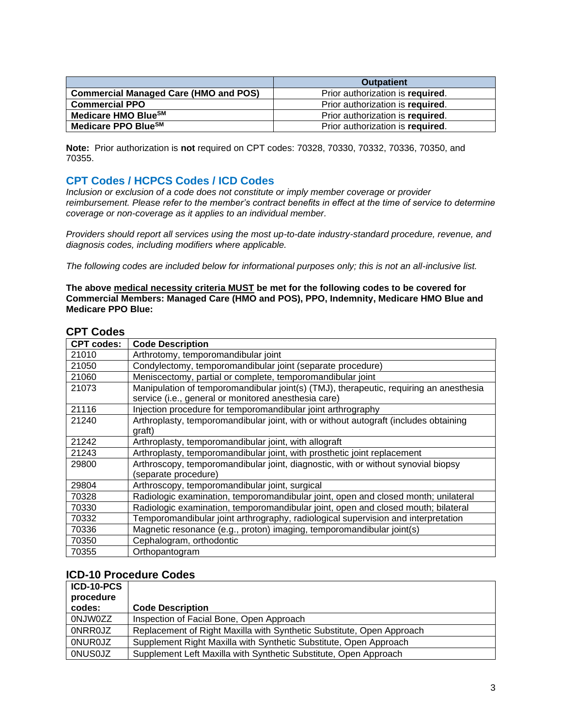|                                              | <b>Outpatient</b>                |
|----------------------------------------------|----------------------------------|
| <b>Commercial Managed Care (HMO and POS)</b> | Prior authorization is required. |
| <b>Commercial PPO</b>                        | Prior authorization is required. |
| Medicare HMO Blue <sup>SM</sup>              | Prior authorization is required. |
| Medicare PPO Blue <sup>SM</sup>              | Prior authorization is required. |

**Note:** Prior authorization is **not** required on CPT codes: 70328, 70330, 70332, 70336, 70350, and 70355.

### <span id="page-2-0"></span>**CPT Codes / HCPCS Codes / ICD Codes**

*Inclusion or exclusion of a code does not constitute or imply member coverage or provider reimbursement. Please refer to the member's contract benefits in effect at the time of service to determine coverage or non-coverage as it applies to an individual member.*

*Providers should report all services using the most up-to-date industry-standard procedure, revenue, and diagnosis codes, including modifiers where applicable.*

*The following codes are included below for informational purposes only; this is not an all-inclusive list.*

**The above medical necessity criteria MUST be met for the following codes to be covered for Commercial Members: Managed Care (HMO and POS), PPO, Indemnity, Medicare HMO Blue and Medicare PPO Blue:**

| <b>CPT codes:</b> | <b>Code Description</b>                                                                |
|-------------------|----------------------------------------------------------------------------------------|
| 21010             | Arthrotomy, temporomandibular joint                                                    |
| 21050             | Condylectomy, temporomandibular joint (separate procedure)                             |
| 21060             | Meniscectomy, partial or complete, temporomandibular joint                             |
| 21073             | Manipulation of temporomandibular joint(s) (TMJ), therapeutic, requiring an anesthesia |
|                   | service (i.e., general or monitored anesthesia care)                                   |
| 21116             | Injection procedure for temporomandibular joint arthrography                           |
| 21240             | Arthroplasty, temporomandibular joint, with or without autograft (includes obtaining   |
|                   | graft)                                                                                 |
| 21242             | Arthroplasty, temporomandibular joint, with allograft                                  |
| 21243             | Arthroplasty, temporomandibular joint, with prosthetic joint replacement               |
| 29800             | Arthroscopy, temporomandibular joint, diagnostic, with or without synovial biopsy      |
|                   | (separate procedure)                                                                   |
| 29804             | Arthroscopy, temporomandibular joint, surgical                                         |
| 70328             | Radiologic examination, temporomandibular joint, open and closed month; unilateral     |
| 70330             | Radiologic examination, temporomandibular joint, open and closed mouth; bilateral      |
| 70332             | Temporomandibular joint arthrography, radiological supervision and interpretation      |
| 70336             | Magnetic resonance (e.g., proton) imaging, temporomandibular joint(s)                  |
| 70350             | Cephalogram, orthodontic                                                               |
| 70355             | Orthopantogram                                                                         |

### **CPT Codes**

### **ICD-10 Procedure Codes**

| ICD-10-PCS     |                                                                       |
|----------------|-----------------------------------------------------------------------|
| procedure      |                                                                       |
| codes:         | <b>Code Description</b>                                               |
| 0NJW0ZZ        | Inspection of Facial Bone, Open Approach                              |
| <b>ONRROJZ</b> | Replacement of Right Maxilla with Synthetic Substitute, Open Approach |
| <b>ONUROJZ</b> | Supplement Right Maxilla with Synthetic Substitute, Open Approach     |
| <b>ONUSOJZ</b> | Supplement Left Maxilla with Synthetic Substitute, Open Approach      |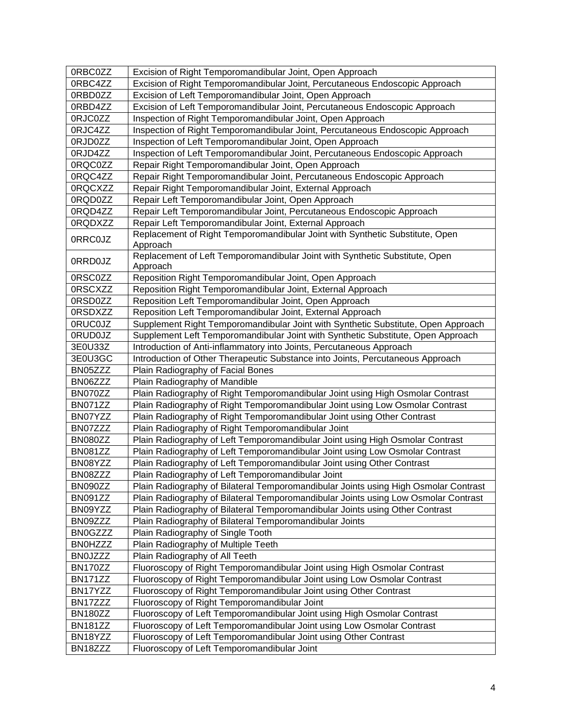| 0RBC0ZZ        | Excision of Right Temporomandibular Joint, Open Approach                            |
|----------------|-------------------------------------------------------------------------------------|
| 0RBC4ZZ        | Excision of Right Temporomandibular Joint, Percutaneous Endoscopic Approach         |
| 0RBD0ZZ        | Excision of Left Temporomandibular Joint, Open Approach                             |
| 0RBD4ZZ        | Excision of Left Temporomandibular Joint, Percutaneous Endoscopic Approach          |
| 0RJC0ZZ        | Inspection of Right Temporomandibular Joint, Open Approach                          |
| 0RJC4ZZ        | Inspection of Right Temporomandibular Joint, Percutaneous Endoscopic Approach       |
| 0RJD0ZZ        | Inspection of Left Temporomandibular Joint, Open Approach                           |
| 0RJD4ZZ        | Inspection of Left Temporomandibular Joint, Percutaneous Endoscopic Approach        |
| 0RQC0ZZ        | Repair Right Temporomandibular Joint, Open Approach                                 |
| 0RQC4ZZ        | Repair Right Temporomandibular Joint, Percutaneous Endoscopic Approach              |
| 0RQCXZZ        | Repair Right Temporomandibular Joint, External Approach                             |
| 0RQD0ZZ        | Repair Left Temporomandibular Joint, Open Approach                                  |
| 0RQD4ZZ        | Repair Left Temporomandibular Joint, Percutaneous Endoscopic Approach               |
| 0RQDXZZ        | Repair Left Temporomandibular Joint, External Approach                              |
|                | Replacement of Right Temporomandibular Joint with Synthetic Substitute, Open        |
| 0RRC0JZ        | Approach                                                                            |
| 0RRD0JZ        | Replacement of Left Temporomandibular Joint with Synthetic Substitute, Open         |
|                | Approach                                                                            |
| 0RSC0ZZ        | Reposition Right Temporomandibular Joint, Open Approach                             |
| 0RSCXZZ        | Reposition Right Temporomandibular Joint, External Approach                         |
| 0RSD0ZZ        | Reposition Left Temporomandibular Joint, Open Approach                              |
| 0RSDXZZ        | Reposition Left Temporomandibular Joint, External Approach                          |
| 0RUC0JZ        | Supplement Right Temporomandibular Joint with Synthetic Substitute, Open Approach   |
| 0RUD0JZ        | Supplement Left Temporomandibular Joint with Synthetic Substitute, Open Approach    |
| 3E0U33Z        | Introduction of Anti-inflammatory into Joints, Percutaneous Approach                |
| 3E0U3GC        | Introduction of Other Therapeutic Substance into Joints, Percutaneous Approach      |
| BN05ZZZ        | Plain Radiography of Facial Bones                                                   |
| BN06ZZZ        | Plain Radiography of Mandible                                                       |
| BN070ZZ        | Plain Radiography of Right Temporomandibular Joint using High Osmolar Contrast      |
| BN071ZZ        | Plain Radiography of Right Temporomandibular Joint using Low Osmolar Contrast       |
| BN07YZZ        | Plain Radiography of Right Temporomandibular Joint using Other Contrast             |
| BN07ZZZ        | Plain Radiography of Right Temporomandibular Joint                                  |
| BN080ZZ        | Plain Radiography of Left Temporomandibular Joint using High Osmolar Contrast       |
| <b>BN081ZZ</b> | Plain Radiography of Left Temporomandibular Joint using Low Osmolar Contrast        |
| BN08YZZ        | Plain Radiography of Left Temporomandibular Joint using Other Contrast              |
| BN08ZZZ        | Plain Radiography of Left Temporomandibular Joint                                   |
| BN090ZZ        | Plain Radiography of Bilateral Temporomandibular Joints using High Osmolar Contrast |
| BN091ZZ        | Plain Radiography of Bilateral Temporomandibular Joints using Low Osmolar Contrast  |
| BN09YZZ        | Plain Radiography of Bilateral Temporomandibular Joints using Other Contrast        |
| BN09ZZZ        | Plain Radiography of Bilateral Temporomandibular Joints                             |
| <b>BN0GZZZ</b> | Plain Radiography of Single Tooth                                                   |
| <b>BN0HZZZ</b> | Plain Radiography of Multiple Teeth                                                 |
| <b>BN0JZZZ</b> | Plain Radiography of All Teeth                                                      |
| BN170ZZ        | Fluoroscopy of Right Temporomandibular Joint using High Osmolar Contrast            |
| <b>BN171ZZ</b> | Fluoroscopy of Right Temporomandibular Joint using Low Osmolar Contrast             |
| BN17YZZ        | Fluoroscopy of Right Temporomandibular Joint using Other Contrast                   |
| BN17ZZZ        | Fluoroscopy of Right Temporomandibular Joint                                        |
| BN180ZZ        | Fluoroscopy of Left Temporomandibular Joint using High Osmolar Contrast             |
| <b>BN181ZZ</b> | Fluoroscopy of Left Temporomandibular Joint using Low Osmolar Contrast              |
| BN18YZZ        | Fluoroscopy of Left Temporomandibular Joint using Other Contrast                    |
| BN18ZZZ        | Fluoroscopy of Left Temporomandibular Joint                                         |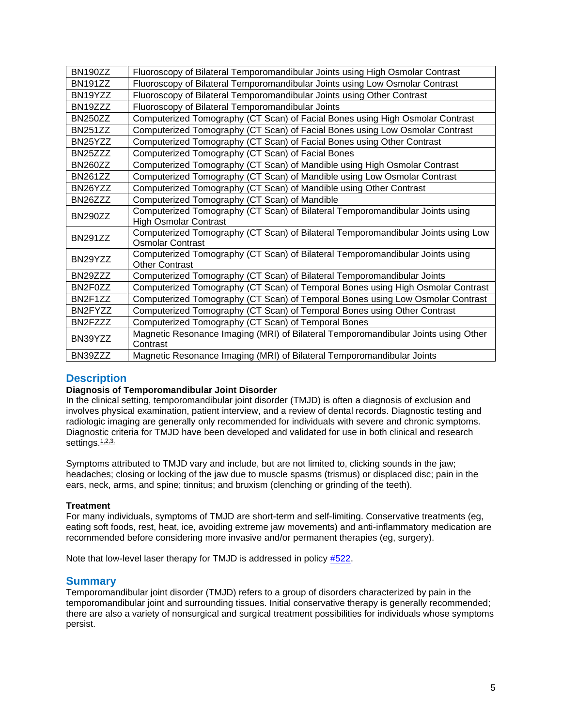| <b>BN190ZZ</b>       | Fluoroscopy of Bilateral Temporomandibular Joints using High Osmolar Contrast      |
|----------------------|------------------------------------------------------------------------------------|
| <b>BN191ZZ</b>       | Fluoroscopy of Bilateral Temporomandibular Joints using Low Osmolar Contrast       |
| BN <sub>19</sub> YZZ | Fluoroscopy of Bilateral Temporomandibular Joints using Other Contrast             |
| BN19ZZZ              | Fluoroscopy of Bilateral Temporomandibular Joints                                  |
| <b>BN250ZZ</b>       | Computerized Tomography (CT Scan) of Facial Bones using High Osmolar Contrast      |
| <b>BN251ZZ</b>       | Computerized Tomography (CT Scan) of Facial Bones using Low Osmolar Contrast       |
| BN25YZZ              | Computerized Tomography (CT Scan) of Facial Bones using Other Contrast             |
| BN25ZZZ              | Computerized Tomography (CT Scan) of Facial Bones                                  |
| <b>BN260ZZ</b>       | Computerized Tomography (CT Scan) of Mandible using High Osmolar Contrast          |
| <b>BN261ZZ</b>       | Computerized Tomography (CT Scan) of Mandible using Low Osmolar Contrast           |
| BN26YZZ              | Computerized Tomography (CT Scan) of Mandible using Other Contrast                 |
| BN26ZZZ              | Computerized Tomography (CT Scan) of Mandible                                      |
| <b>BN290ZZ</b>       | Computerized Tomography (CT Scan) of Bilateral Temporomandibular Joints using      |
|                      | <b>High Osmolar Contrast</b>                                                       |
| <b>BN291ZZ</b>       | Computerized Tomography (CT Scan) of Bilateral Temporomandibular Joints using Low  |
|                      | <b>Osmolar Contrast</b>                                                            |
| BN29YZZ              | Computerized Tomography (CT Scan) of Bilateral Temporomandibular Joints using      |
|                      | <b>Other Contrast</b>                                                              |
| BN29ZZZ              | Computerized Tomography (CT Scan) of Bilateral Temporomandibular Joints            |
| BN2F0ZZ              | Computerized Tomography (CT Scan) of Temporal Bones using High Osmolar Contrast    |
| BN2F1ZZ              | Computerized Tomography (CT Scan) of Temporal Bones using Low Osmolar Contrast     |
| BN2FYZZ              | Computerized Tomography (CT Scan) of Temporal Bones using Other Contrast           |
| BN2FZZZ              | Computerized Tomography (CT Scan) of Temporal Bones                                |
| BN39YZZ              | Magnetic Resonance Imaging (MRI) of Bilateral Temporomandibular Joints using Other |
|                      | Contrast                                                                           |
| BN39ZZZ              | Magnetic Resonance Imaging (MRI) of Bilateral Temporomandibular Joints             |
|                      |                                                                                    |

# <span id="page-4-0"></span>**Description**

#### **Diagnosis of Temporomandibular Joint Disorder**

In the clinical setting, temporomandibular joint disorder (TMJD) is often a diagnosis of exclusion and involves physical examination, patient interview, and a review of dental records. Diagnostic testing and radiologic imaging are generally only recommended for individuals with severe and chronic symptoms. Diagnostic criteria for TMJD have been developed and validated for use in both clinical and research settings. [1,2,3,](https://www.evidencepositioningsystem.com/_w_0659b4adccca2c373876f01c23738ed83e333911f92833a8/bcbsa_html/BCBSA/html/_blank)

Symptoms attributed to TMJD vary and include, but are not limited to, clicking sounds in the jaw; headaches; closing or locking of the jaw due to muscle spasms (trismus) or displaced disc; pain in the ears, neck, arms, and spine; tinnitus; and bruxism (clenching or grinding of the teeth).

#### **Treatment**

For many individuals, symptoms of TMJD are short-term and self-limiting. Conservative treatments (eg, eating soft foods, rest, heat, ice, avoiding extreme jaw movements) and anti-inflammatory medication are recommended before considering more invasive and/or permanent therapies (eg, surgery).

Note that low-level laser therapy for TMJD is addressed in policy [#522.](http://www.bluecrossma.org/medical-policies/sites/g/files/csphws2091/files/acquiadam-assets/522%20Low-Level%20Laser%20Therapy%20prn.pdf#page=1)

#### **Summary**

Temporomandibular joint disorder (TMJD) refers to a group of disorders characterized by pain in the temporomandibular joint and surrounding tissues. Initial conservative therapy is generally recommended; there are also a variety of nonsurgical and surgical treatment possibilities for individuals whose symptoms persist.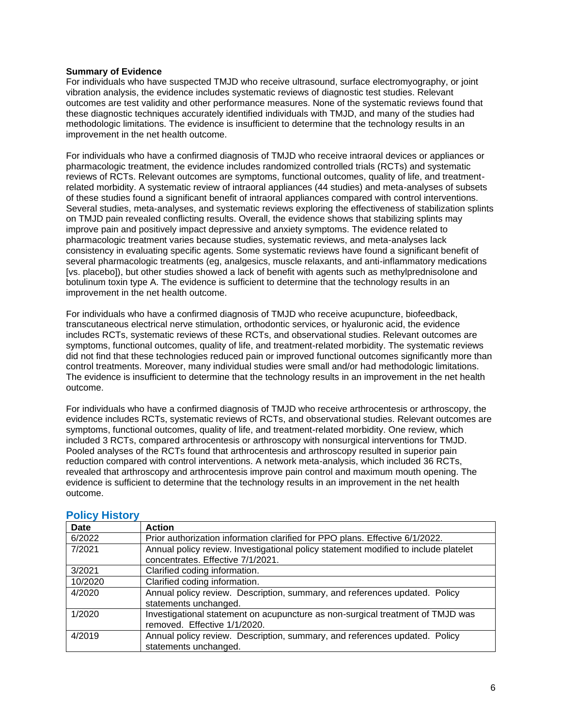#### **Summary of Evidence**

For individuals who have suspected TMJD who receive ultrasound, surface electromyography, or joint vibration analysis, the evidence includes systematic reviews of diagnostic test studies. Relevant outcomes are test validity and other performance measures. None of the systematic reviews found that these diagnostic techniques accurately identified individuals with TMJD, and many of the studies had methodologic limitations. The evidence is insufficient to determine that the technology results in an improvement in the net health outcome.

For individuals who have a confirmed diagnosis of TMJD who receive intraoral devices or appliances or pharmacologic treatment, the evidence includes randomized controlled trials (RCTs) and systematic reviews of RCTs. Relevant outcomes are symptoms, functional outcomes, quality of life, and treatmentrelated morbidity. A systematic review of intraoral appliances (44 studies) and meta-analyses of subsets of these studies found a significant benefit of intraoral appliances compared with control interventions. Several studies, meta-analyses, and systematic reviews exploring the effectiveness of stabilization splints on TMJD pain revealed conflicting results. Overall, the evidence shows that stabilizing splints may improve pain and positively impact depressive and anxiety symptoms. The evidence related to pharmacologic treatment varies because studies, systematic reviews, and meta-analyses lack consistency in evaluating specific agents. Some systematic reviews have found a significant benefit of several pharmacologic treatments (eg, analgesics, muscle relaxants, and anti-inflammatory medications [vs. placebo]), but other studies showed a lack of benefit with agents such as methylprednisolone and botulinum toxin type A. The evidence is sufficient to determine that the technology results in an improvement in the net health outcome.

For individuals who have a confirmed diagnosis of TMJD who receive acupuncture, biofeedback, transcutaneous electrical nerve stimulation, orthodontic services, or hyaluronic acid, the evidence includes RCTs, systematic reviews of these RCTs, and observational studies. Relevant outcomes are symptoms, functional outcomes, quality of life, and treatment-related morbidity. The systematic reviews did not find that these technologies reduced pain or improved functional outcomes significantly more than control treatments. Moreover, many individual studies were small and/or had methodologic limitations. The evidence is insufficient to determine that the technology results in an improvement in the net health outcome.

For individuals who have a confirmed diagnosis of TMJD who receive arthrocentesis or arthroscopy, the evidence includes RCTs, systematic reviews of RCTs, and observational studies. Relevant outcomes are symptoms, functional outcomes, quality of life, and treatment-related morbidity. One review, which included 3 RCTs, compared arthrocentesis or arthroscopy with nonsurgical interventions for TMJD. Pooled analyses of the RCTs found that arthrocentesis and arthroscopy resulted in superior pain reduction compared with control interventions. A network meta-analysis, which included 36 RCTs, revealed that arthroscopy and arthrocentesis improve pain control and maximum mouth opening. The evidence is sufficient to determine that the technology results in an improvement in the net health outcome.

| <b>Date</b> | <b>Action</b>                                                                                                            |
|-------------|--------------------------------------------------------------------------------------------------------------------------|
| 6/2022      | Prior authorization information clarified for PPO plans. Effective 6/1/2022.                                             |
| 7/2021      | Annual policy review. Investigational policy statement modified to include platelet<br>concentrates. Effective 7/1/2021. |
| 3/2021      | Clarified coding information.                                                                                            |
| 10/2020     | Clarified coding information.                                                                                            |
| 4/2020      | Annual policy review. Description, summary, and references updated. Policy<br>statements unchanged.                      |
| 1/2020      | Investigational statement on acupuncture as non-surgical treatment of TMJD was<br>removed. Effective 1/1/2020.           |
| 4/2019      | Annual policy review. Description, summary, and references updated. Policy<br>statements unchanged.                      |

#### <span id="page-5-0"></span>**Policy History**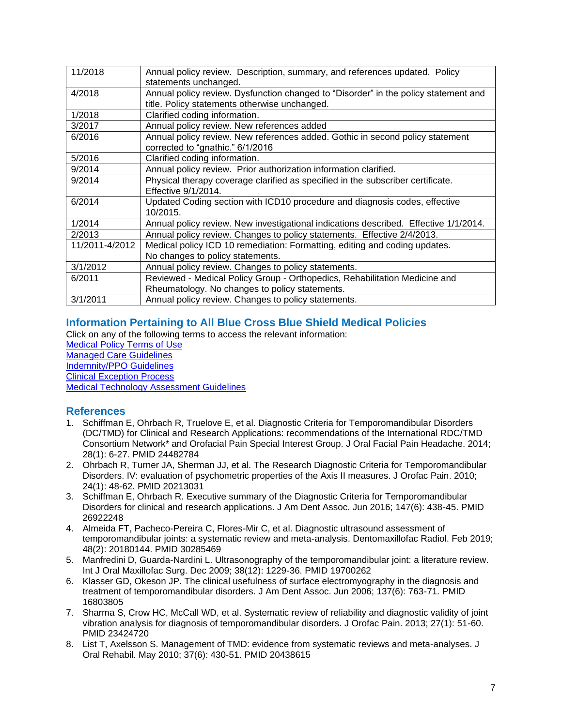| 11/2018        | Annual policy review. Description, summary, and references updated. Policy           |
|----------------|--------------------------------------------------------------------------------------|
|                | statements unchanged.                                                                |
|                |                                                                                      |
| 4/2018         | Annual policy review. Dysfunction changed to "Disorder" in the policy statement and  |
|                | title. Policy statements otherwise unchanged.                                        |
| 1/2018         | Clarified coding information.                                                        |
| 3/2017         | Annual policy review. New references added                                           |
| 6/2016         | Annual policy review. New references added. Gothic in second policy statement        |
|                | corrected to "gnathic." 6/1/2016                                                     |
| 5/2016         | Clarified coding information.                                                        |
| 9/2014         | Annual policy review. Prior authorization information clarified.                     |
| 9/2014         | Physical therapy coverage clarified as specified in the subscriber certificate.      |
|                | Effective 9/1/2014.                                                                  |
| 6/2014         | Updated Coding section with ICD10 procedure and diagnosis codes, effective           |
|                | 10/2015.                                                                             |
| 1/2014         | Annual policy review. New investigational indications described. Effective 1/1/2014. |
| 2/2013         | Annual policy review. Changes to policy statements. Effective 2/4/2013.              |
| 11/2011-4/2012 | Medical policy ICD 10 remediation: Formatting, editing and coding updates.           |
|                | No changes to policy statements.                                                     |
| 3/1/2012       | Annual policy review. Changes to policy statements.                                  |
| 6/2011         | Reviewed - Medical Policy Group - Orthopedics, Rehabilitation Medicine and           |
|                | Rheumatology. No changes to policy statements.                                       |
| 3/1/2011       | Annual policy review. Changes to policy statements.                                  |

# <span id="page-6-0"></span>**Information Pertaining to All Blue Cross Blue Shield Medical Policies**

Click on any of the following terms to access the relevant information: [Medical Policy Terms of Use](http://www.bluecrossma.org/medical-policies/sites/g/files/csphws2091/files/acquiadam-assets/Medical_Policy_Terms_of_Use_prn.pdf) [Managed Care Guidelines](http://www.bluecrossma.org/medical-policies/sites/g/files/csphws2091/files/acquiadam-assets/Managed_Care_Guidelines_prn.pdf) [Indemnity/PPO Guidelines](http://www.bluecrossma.org/medical-policies/sites/g/files/csphws2091/files/acquiadam-assets/Indemnity_and_PPO_Guidelines_prn.pdf) [Clinical Exception Process](http://www.bluecrossma.org/medical-policies/sites/g/files/csphws2091/files/acquiadam-assets/Clinical_Exception_Process_prn.pdf)

<span id="page-6-1"></span>[Medical Technology Assessment Guidelines](http://www.bluecrossma.org/medical-policies/sites/g/files/csphws2091/files/acquiadam-assets/Medical_Technology_Assessment_Guidelines_prn.pdf)

# **References**

- 1. Schiffman E, Ohrbach R, Truelove E, et al. Diagnostic Criteria for Temporomandibular Disorders (DC/TMD) for Clinical and Research Applications: recommendations of the International RDC/TMD Consortium Network\* and Orofacial Pain Special Interest Group. J Oral Facial Pain Headache. 2014; 28(1): 6-27. PMID 24482784
- 2. Ohrbach R, Turner JA, Sherman JJ, et al. The Research Diagnostic Criteria for Temporomandibular Disorders. IV: evaluation of psychometric properties of the Axis II measures. J Orofac Pain. 2010; 24(1): 48-62. PMID 20213031
- 3. Schiffman E, Ohrbach R. Executive summary of the Diagnostic Criteria for Temporomandibular Disorders for clinical and research applications. J Am Dent Assoc. Jun 2016; 147(6): 438-45. PMID 26922248
- 4. Almeida FT, Pacheco-Pereira C, Flores-Mir C, et al. Diagnostic ultrasound assessment of temporomandibular joints: a systematic review and meta-analysis. Dentomaxillofac Radiol. Feb 2019; 48(2): 20180144. PMID 30285469
- 5. Manfredini D, Guarda-Nardini L. Ultrasonography of the temporomandibular joint: a literature review. Int J Oral Maxillofac Surg. Dec 2009; 38(12): 1229-36. PMID 19700262
- 6. Klasser GD, Okeson JP. The clinical usefulness of surface electromyography in the diagnosis and treatment of temporomandibular disorders. J Am Dent Assoc. Jun 2006; 137(6): 763-71. PMID 16803805
- 7. Sharma S, Crow HC, McCall WD, et al. Systematic review of reliability and diagnostic validity of joint vibration analysis for diagnosis of temporomandibular disorders. J Orofac Pain. 2013; 27(1): 51-60. PMID 23424720
- 8. List T, Axelsson S. Management of TMD: evidence from systematic reviews and meta-analyses. J Oral Rehabil. May 2010; 37(6): 430-51. PMID 20438615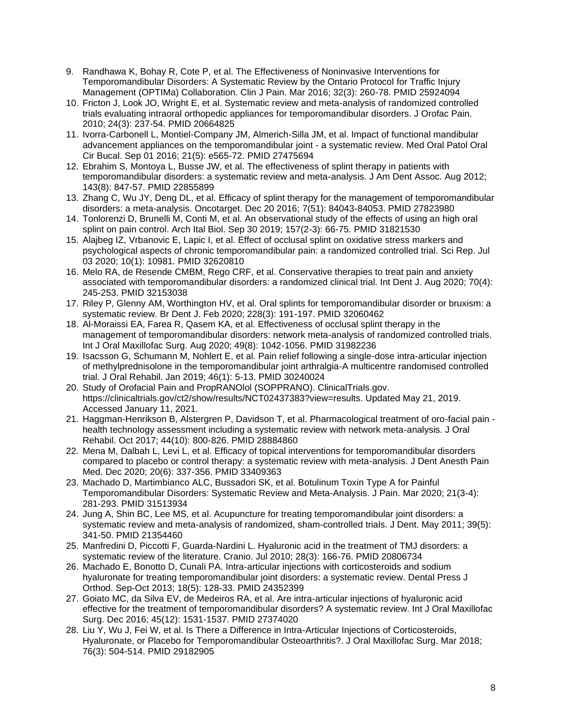- 9. Randhawa K, Bohay R, Cote P, et al. The Effectiveness of Noninvasive Interventions for Temporomandibular Disorders: A Systematic Review by the Ontario Protocol for Traffic Injury Management (OPTIMa) Collaboration. Clin J Pain. Mar 2016; 32(3): 260-78. PMID 25924094
- 10. Fricton J, Look JO, Wright E, et al. Systematic review and meta-analysis of randomized controlled trials evaluating intraoral orthopedic appliances for temporomandibular disorders. J Orofac Pain. 2010; 24(3): 237-54. PMID 20664825
- 11. Ivorra-Carbonell L, Montiel-Company JM, Almerich-Silla JM, et al. Impact of functional mandibular advancement appliances on the temporomandibular joint - a systematic review. Med Oral Patol Oral Cir Bucal. Sep 01 2016; 21(5): e565-72. PMID 27475694
- 12. Ebrahim S, Montoya L, Busse JW, et al. The effectiveness of splint therapy in patients with temporomandibular disorders: a systematic review and meta-analysis. J Am Dent Assoc. Aug 2012; 143(8): 847-57. PMID 22855899
- 13. Zhang C, Wu JY, Deng DL, et al. Efficacy of splint therapy for the management of temporomandibular disorders: a meta-analysis. Oncotarget. Dec 20 2016; 7(51): 84043-84053. PMID 27823980
- 14. Tonlorenzi D, Brunelli M, Conti M, et al. An observational study of the effects of using an high oral splint on pain control. Arch Ital Biol. Sep 30 2019; 157(2-3): 66-75. PMID 31821530
- 15. Alajbeg IZ, Vrbanovic E, Lapic I, et al. Effect of occlusal splint on oxidative stress markers and psychological aspects of chronic temporomandibular pain: a randomized controlled trial. Sci Rep. Jul 03 2020; 10(1): 10981. PMID 32620810
- 16. Melo RA, de Resende CMBM, Rego CRF, et al. Conservative therapies to treat pain and anxiety associated with temporomandibular disorders: a randomized clinical trial. Int Dent J. Aug 2020; 70(4): 245-253. PMID 32153038
- 17. Riley P, Glenny AM, Worthington HV, et al. Oral splints for temporomandibular disorder or bruxism: a systematic review. Br Dent J. Feb 2020; 228(3): 191-197. PMID 32060462
- 18. Al-Moraissi EA, Farea R, Qasem KA, et al. Effectiveness of occlusal splint therapy in the management of temporomandibular disorders: network meta-analysis of randomized controlled trials. Int J Oral Maxillofac Surg. Aug 2020; 49(8): 1042-1056. PMID 31982236
- 19. Isacsson G, Schumann M, Nohlert E, et al. Pain relief following a single-dose intra-articular injection of methylprednisolone in the temporomandibular joint arthralgia-A multicentre randomised controlled trial. J Oral Rehabil. Jan 2019; 46(1): 5-13. PMID 30240024
- 20. Study of Orofacial Pain and PropRANOlol (SOPPRANO). ClinicalTrials.gov. https://clinicaltrials.gov/ct2/show/results/NCT02437383?view=results. Updated May 21, 2019. Accessed January 11, 2021.
- 21. Haggman-Henrikson B, Alstergren P, Davidson T, et al. Pharmacological treatment of oro-facial pain health technology assessment including a systematic review with network meta-analysis. J Oral Rehabil. Oct 2017; 44(10): 800-826. PMID 28884860
- 22. Mena M, Dalbah L, Levi L, et al. Efficacy of topical interventions for temporomandibular disorders compared to placebo or control therapy: a systematic review with meta-analysis. J Dent Anesth Pain Med. Dec 2020; 20(6): 337-356. PMID 33409363
- 23. Machado D, Martimbianco ALC, Bussadori SK, et al. Botulinum Toxin Type A for Painful Temporomandibular Disorders: Systematic Review and Meta-Analysis. J Pain. Mar 2020; 21(3-4): 281-293. PMID 31513934
- 24. Jung A, Shin BC, Lee MS, et al. Acupuncture for treating temporomandibular joint disorders: a systematic review and meta-analysis of randomized, sham-controlled trials. J Dent. May 2011; 39(5): 341-50. PMID 21354460
- 25. Manfredini D, Piccotti F, Guarda-Nardini L. Hyaluronic acid in the treatment of TMJ disorders: a systematic review of the literature. Cranio. Jul 2010; 28(3): 166-76. PMID 20806734
- 26. Machado E, Bonotto D, Cunali PA. Intra-articular injections with corticosteroids and sodium hyaluronate for treating temporomandibular joint disorders: a systematic review. Dental Press J Orthod. Sep-Oct 2013; 18(5): 128-33. PMID 24352399
- 27. Goiato MC, da Silva EV, de Medeiros RA, et al. Are intra-articular injections of hyaluronic acid effective for the treatment of temporomandibular disorders? A systematic review. Int J Oral Maxillofac Surg. Dec 2016; 45(12): 1531-1537. PMID 27374020
- 28. Liu Y, Wu J, Fei W, et al. Is There a Difference in Intra-Articular Injections of Corticosteroids, Hyaluronate, or Placebo for Temporomandibular Osteoarthritis?. J Oral Maxillofac Surg. Mar 2018; 76(3): 504-514. PMID 29182905